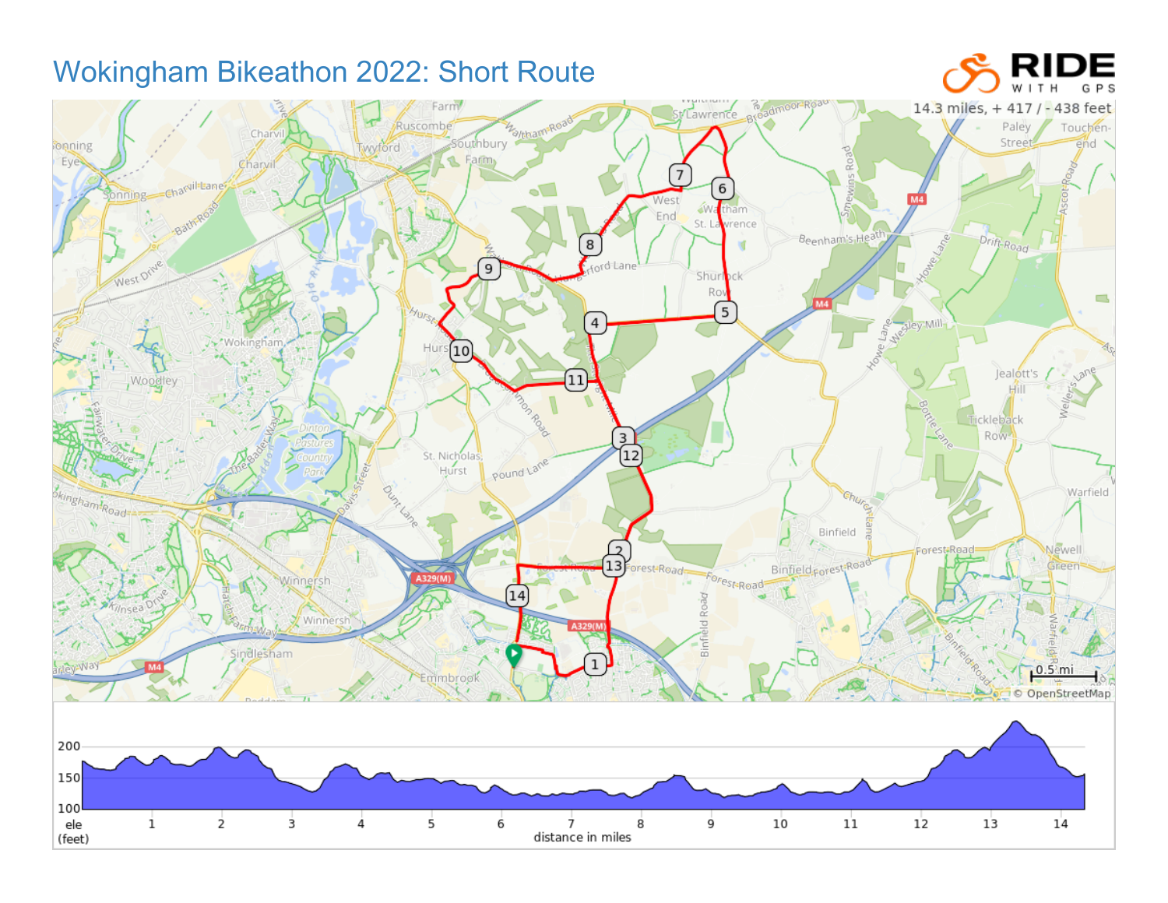## Wokingham Bikeathon 2022: Short Route

## F